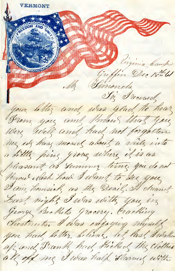**VERMONT** And British Contraction Pinginia Camp Griffin Dec 18th 61 **CONTRACTOR** My Finnenda To received your littler and was glad to hear Brown you and Modous that you Were well and had not forgotten me us have moved about a write into a little ping grove where if is as pleasant as Summer time. you do not Myou Nesh how I want to see you I am homsick as the Deail. It dreams Last night I was with you in George Beathets grocery, Cracking Chestruits. I was enjoying myself you had letter believe, bet last dwaller up und Frank had Hicked the Clothes all off me I was half slamus with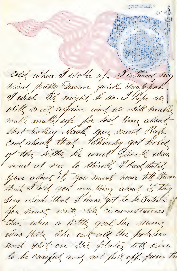Le Course Colof when I woke why I attend my mind pretty Dann quick Snappod, I wish it might be sa. I hope we will meet again and we will make make make up for lost time about that turkey Hash you must Reep Cool about that Charley got hold of the letter he and Beck was mad at me to think, I had total<br>You about it, you must never tell them that I told you anything about it they Sry exash that I have got to be Sather you must write the circumstances? there was a little good her name was hate the eart all the potatoes and this on the plate, tell our to be careful and not fall off from the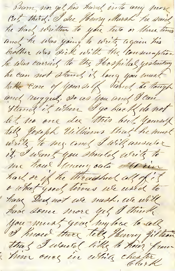Barn nor get his hand into any were Cut third. I see Henry, Mursh he said he had written to you two or three times and he was going to write again his brother was sick with the Consumption he was carried to the Hospital yesterday he can not stand it long you must take care of your self Sand the tough and rugged, so as you and I can Stand if when I go back do not let no one see this but yourself tell Joseph Uilliams that he must write to my and I will ansuler it, I want you should write to me hour Municipale office had or if he throughed all of it o what good times we used to have Did not we nash, we will have some more yet I think you must give my love to all I know there tell Henry filteen that I would like to hear from him ones in while chester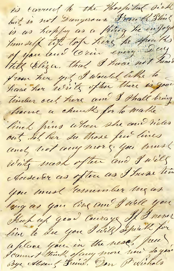is carried to the Hospital sick but is not Dangerous Frank Ship is as happy as a fring he enfoys humself top top here he speaks of you and Crin every Day Till blezer. that I have not heard from her yet I would like to have her write often there is gone timber out here and I shall bring home a church for to make lines fring when the and rides out Il her su those few lives Write wach often and I will Ausuler as often as I have time you must remember my as larges you ling and I will you Kich up good Courage of I never live to see you I will spirk for a place you in the need free Bye Alsenf Frend, Don Provictions